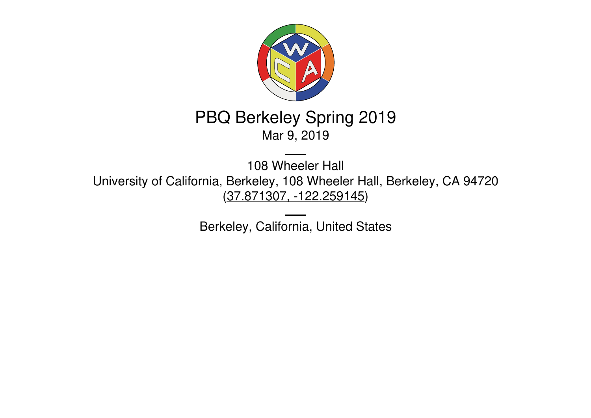

# PBQ Berkeley Spring 2019 Mar 9, 2019

108 Wheeler Hall University of California, Berkeley, 108 Wheeler Hall, Berkeley, CA 94720 (37.871307, [-122.259145](https://www.google.com/maps/place/37.871307,-122.259145))

Berkeley, California, United States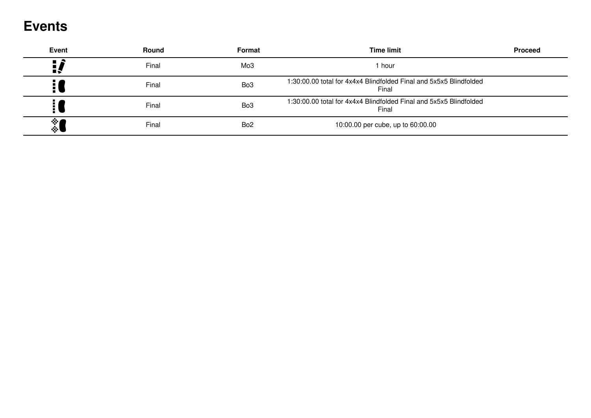## **Events**

| <b>Event</b>       | Round | Format          | <b>Time limit</b>                                                           | <b>Proceed</b> |
|--------------------|-------|-----------------|-----------------------------------------------------------------------------|----------------|
|                    | Final | Mo3             | 1 hour                                                                      |                |
|                    | Final | Bo <sub>3</sub> | 1:30:00.00 total for 4x4x4 Blindfolded Final and 5x5x5 Blindfolded<br>Final |                |
|                    | Final | Bo <sub>3</sub> | 1:30:00.00 total for 4x4x4 Blindfolded Final and 5x5x5 Blindfolded<br>Final |                |
| 參<br>$\ddot{\phi}$ | Final | Bo <sub>2</sub> | 10:00.00 per cube, up to 60:00.00                                           |                |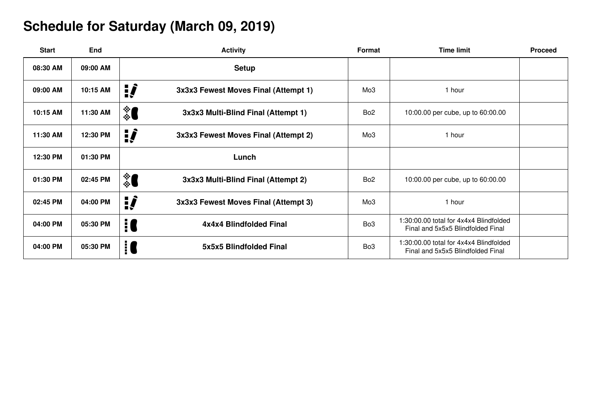### **Schedule for Saturday (March 09, 2019)**

| <b>Start</b> | <b>End</b> | <b>Activity</b>                             | Format          | <b>Time limit</b>                                                           | <b>Proceed</b> |
|--------------|------------|---------------------------------------------|-----------------|-----------------------------------------------------------------------------|----------------|
| 08:30 AM     | 09:00 AM   | <b>Setup</b>                                |                 |                                                                             |                |
| 09:00 AM     | 10:15 AM   | ij,<br>3x3x3 Fewest Moves Final (Attempt 1) | Mo <sub>3</sub> | 1 hour                                                                      |                |
| 10:15 AM     | 11:30 AM   | ै<br>3x3x3 Multi-Blind Final (Attempt 1)    | Bo <sub>2</sub> | 10:00.00 per cube, up to 60:00.00                                           |                |
| 11:30 AM     | 12:30 PM   | ij,<br>3x3x3 Fewest Moves Final (Attempt 2) | Mo <sub>3</sub> | 1 hour                                                                      |                |
| 12:30 PM     | 01:30 PM   | Lunch                                       |                 |                                                                             |                |
| 01:30 PM     | 02:45 PM   | ै<br>3x3x3 Multi-Blind Final (Attempt 2)    | Bo <sub>2</sub> | 10:00.00 per cube, up to 60:00.00                                           |                |
| 02:45 PM     | 04:00 PM   | ij,<br>3x3x3 Fewest Moves Final (Attempt 3) | Mo <sub>3</sub> | 1 hour                                                                      |                |
| 04:00 PM     | 05:30 PM   | i C<br>4x4x4 Blindfolded Final              | Bo <sub>3</sub> | 1:30:00.00 total for 4x4x4 Blindfolded<br>Final and 5x5x5 Blindfolded Final |                |
| 04:00 PM     | 05:30 PM   | $\vdots$<br>5x5x5 Blindfolded Final         | Bo <sub>3</sub> | 1:30:00.00 total for 4x4x4 Blindfolded<br>Final and 5x5x5 Blindfolded Final |                |